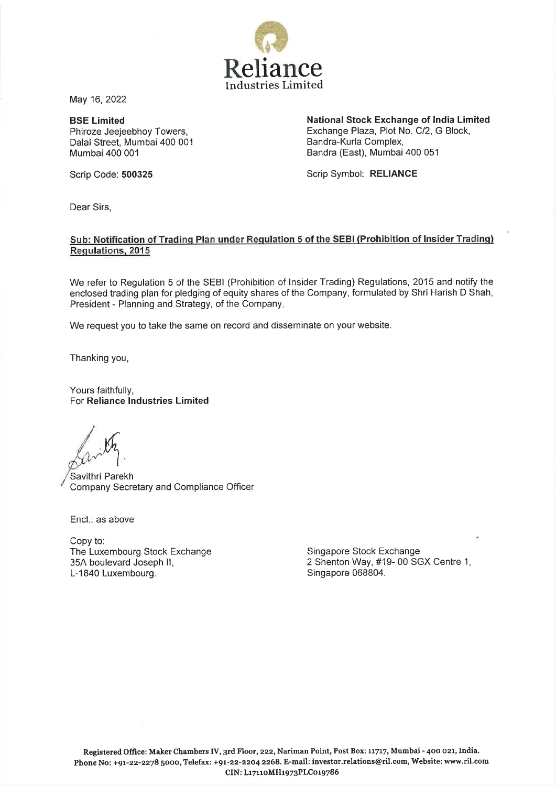

May 16,2022

**BSE Limited**  Phiroze Jeejeebhoy Towers, Dalal Street, Mumbai 400 001 Mumbai 400 001

**National Stock Exchange of India Limited**  Exchange Plaza, Plot No. C/2, G Block, Bandra-Kurla Complex, Bandra (East), Mumbai 400 051

Scrip Code: **500325** 

Scrip Symbol: **RELIANCE** 

Dear Sirs,

## **Sub: Notification of Trading Plan under Regulation 5 of the SEBI (Prohibition of Insider Trading) Regulations, 2015**

We refer to Regulation 5 of the SEBl (Prohibition of Insider Trading) Regulations, 2015 and notify the enclosed trading plan for pledging of equity shares of the Company, formulated by Shri Harish D Shah, President - Planning and Strategy, of the Company.

We request you to take the same on record and disseminate on your website.

Thanking you,

Yours faithfully, For **Reliance Industries Limited** 

Savithri Parekh 'Company Secretary and Compliance Officer

Encl.: as above

Copy to: The Luxembourg Stock Exchange 35A boulevard Joseph II, L-1840 Luxembourg.

Singapore Stock Exchange 2 Shenton Way, #19- 00 SGX Centre 1, Singapore 068804.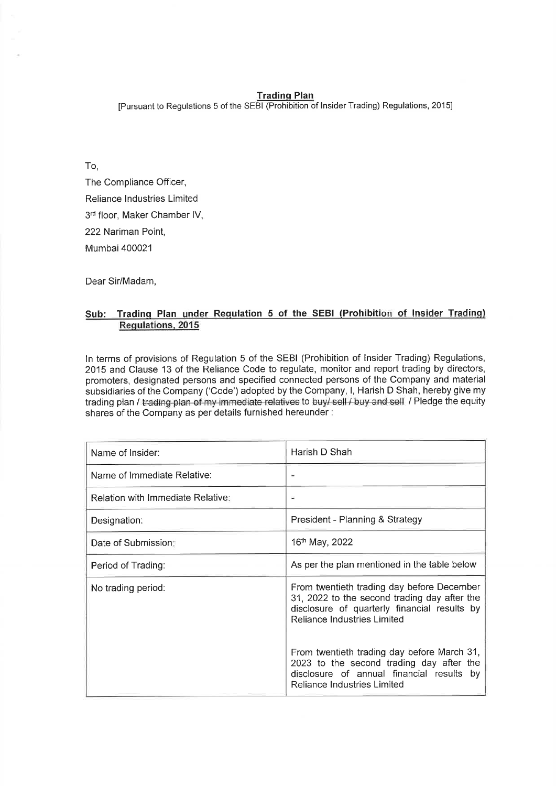## **Tradinq Plan**

[Pursuant to Regulations 5 of the SEBl (Prohibition of lnsider Trading) Regulations, 20151

To, The Compliance Officer, Reliance lndustries Limited 3rd floor, Maker Chamber IV, 222 Nariman Point, Mumbai 400021

Dear Sir/Madam,

## **Sub: Tradinq Plan under Requlation 5 of the SEBl (Prohibition of** Insider **Tradinq) Regulations, 2015**

In terms of provisions of Regulation 5 of the SEBl (Prohibition of lnsider Trading) Regulations, 2015 and Clause 13 of the Reliance Code to regulate, monitor and report trading by directors, promoters, designated persons and specified connected persons of the Company and material subsidiaries of the Company ('Code') adopted by the Company, I, Harish D Shah, hereby give my trading plan / trading plan of my immediate relatives to buy/ sell / buy and sell / Pledge the equity shares of the Company as per details furnished hereunder :

| Name of Insider:                         | Harish D Shah                                                                                                                                                             |  |  |
|------------------------------------------|---------------------------------------------------------------------------------------------------------------------------------------------------------------------------|--|--|
| Name of Immediate Relative:              |                                                                                                                                                                           |  |  |
| <b>Relation with Immediate Relative:</b> |                                                                                                                                                                           |  |  |
| Designation:                             | President - Planning & Strategy                                                                                                                                           |  |  |
| Date of Submission:                      | 16 <sup>th</sup> May, 2022                                                                                                                                                |  |  |
| Period of Trading:                       | As per the plan mentioned in the table below                                                                                                                              |  |  |
| No trading period:                       | From twentieth trading day before December<br>31, 2022 to the second trading day after the<br>disclosure of quarterly financial results by<br>Reliance Industries Limited |  |  |
|                                          | From twentieth trading day before March 31,<br>2023 to the second trading day after the<br>disclosure of annual financial results by<br>Reliance Industries Limited       |  |  |